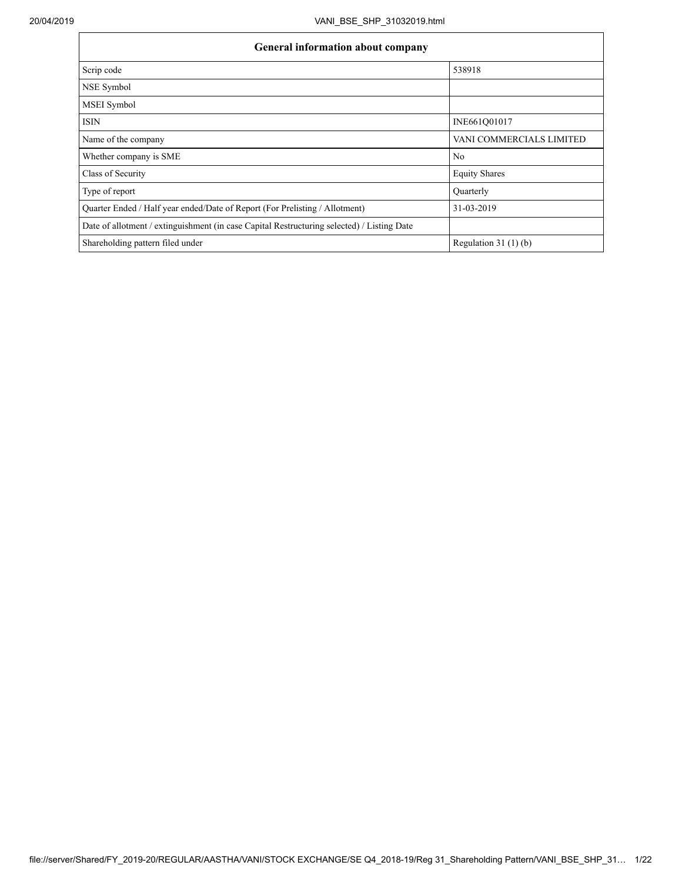| General information about company                                                          |                          |  |  |  |  |  |  |  |  |
|--------------------------------------------------------------------------------------------|--------------------------|--|--|--|--|--|--|--|--|
| Scrip code                                                                                 | 538918                   |  |  |  |  |  |  |  |  |
| NSE Symbol                                                                                 |                          |  |  |  |  |  |  |  |  |
| MSEI Symbol                                                                                |                          |  |  |  |  |  |  |  |  |
| <b>ISIN</b>                                                                                | INE661Q01017             |  |  |  |  |  |  |  |  |
| Name of the company                                                                        | VANI COMMERCIALS LIMITED |  |  |  |  |  |  |  |  |
| Whether company is SME                                                                     | N <sub>0</sub>           |  |  |  |  |  |  |  |  |
| Class of Security                                                                          | <b>Equity Shares</b>     |  |  |  |  |  |  |  |  |
| Type of report                                                                             | Ouarterly                |  |  |  |  |  |  |  |  |
| Quarter Ended / Half year ended/Date of Report (For Prelisting / Allotment)                | 31-03-2019               |  |  |  |  |  |  |  |  |
| Date of allotment / extinguishment (in case Capital Restructuring selected) / Listing Date |                          |  |  |  |  |  |  |  |  |
| Shareholding pattern filed under                                                           | Regulation 31 $(1)(b)$   |  |  |  |  |  |  |  |  |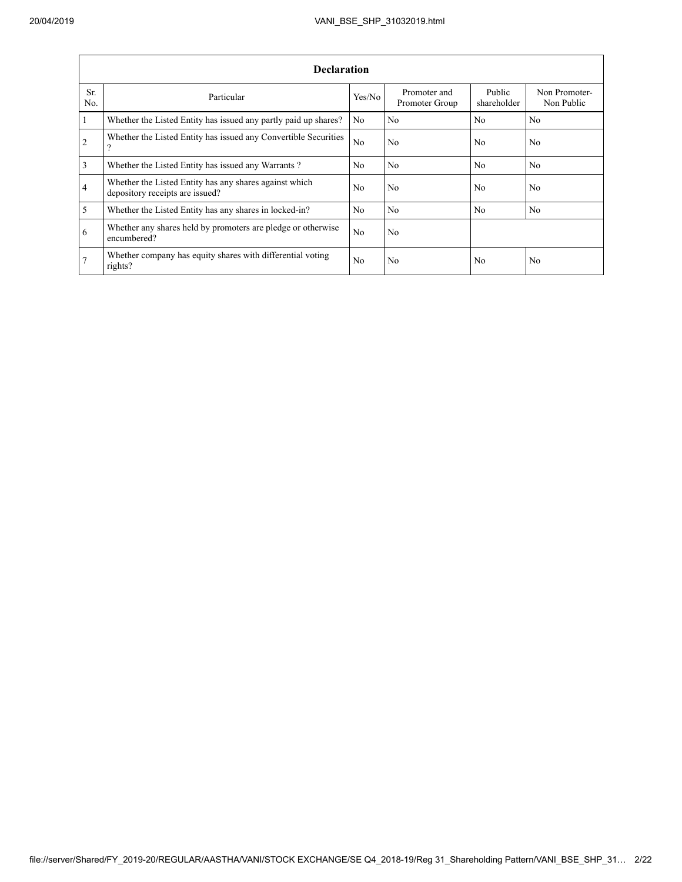|                       | <b>Declaration</b>                                                                        |                |                                |                       |                             |  |  |  |  |  |  |  |  |
|-----------------------|-------------------------------------------------------------------------------------------|----------------|--------------------------------|-----------------------|-----------------------------|--|--|--|--|--|--|--|--|
| Sr.<br>N <sub>0</sub> | Particular                                                                                | Yes/No         | Promoter and<br>Promoter Group | Public<br>shareholder | Non Promoter-<br>Non Public |  |  |  |  |  |  |  |  |
| 1                     | Whether the Listed Entity has issued any partly paid up shares?                           | No.            | N <sub>0</sub>                 | N <sub>0</sub>        | N <sub>0</sub>              |  |  |  |  |  |  |  |  |
| 2                     | Whether the Listed Entity has issued any Convertible Securities<br>?                      | No             | N <sub>0</sub>                 | No                    | N <sub>0</sub>              |  |  |  |  |  |  |  |  |
| 3                     | Whether the Listed Entity has issued any Warrants?                                        | N <sub>0</sub> | N <sub>0</sub>                 | N <sub>0</sub>        | N <sub>0</sub>              |  |  |  |  |  |  |  |  |
| $\overline{4}$        | Whether the Listed Entity has any shares against which<br>depository receipts are issued? | N <sub>0</sub> | N <sub>0</sub>                 | N <sub>0</sub>        | N <sub>0</sub>              |  |  |  |  |  |  |  |  |
| 5                     | Whether the Listed Entity has any shares in locked-in?                                    | N <sub>0</sub> | N <sub>0</sub>                 | N <sub>0</sub>        | N <sub>0</sub>              |  |  |  |  |  |  |  |  |
| 6                     | Whether any shares held by promoters are pledge or otherwise<br>encumbered?               | N <sub>0</sub> | N <sub>0</sub>                 |                       |                             |  |  |  |  |  |  |  |  |
| $7\phantom{.0}$       | Whether company has equity shares with differential voting<br>rights?                     | N <sub>0</sub> | N <sub>0</sub>                 | N <sub>0</sub>        | N <sub>0</sub>              |  |  |  |  |  |  |  |  |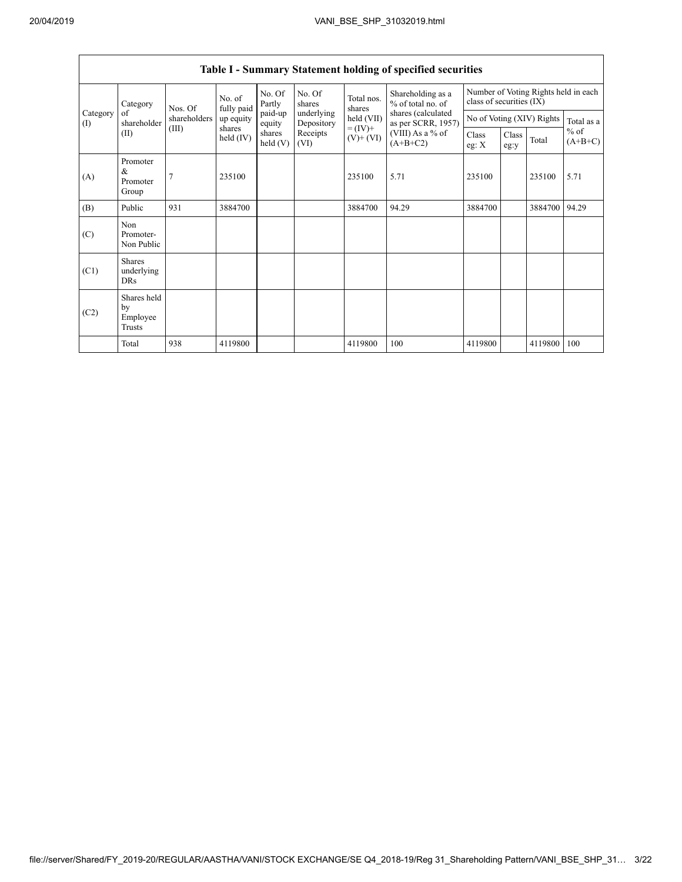|                 | Category                                  | Nos. Of        | No. of<br>fully paid  | No. Of<br>Partly           | No. Of<br>shares         | Total nos.<br>shares     | Shareholding as a<br>% of total no. of<br>shares (calculated<br>as per SCRR, 1957)<br>(VIII) As a % of<br>$(A+B+C2)$ | Number of Voting Rights held in each<br>class of securities (IX) |                           |         |                     |
|-----------------|-------------------------------------------|----------------|-----------------------|----------------------------|--------------------------|--------------------------|----------------------------------------------------------------------------------------------------------------------|------------------------------------------------------------------|---------------------------|---------|---------------------|
| Category<br>(1) | of<br>shareholder                         | shareholders   | up equity             | paid-up<br>equity          | underlying<br>Depository | held (VII)               |                                                                                                                      |                                                                  | No of Voting (XIV) Rights |         | Total as a          |
|                 | (II)                                      | (III)          | shares<br>held $(IV)$ | shares<br>$\text{held}(V)$ | Receipts<br>(VI)         | $= (IV) +$<br>$(V)+(VI)$ |                                                                                                                      | Class<br>eg: $X$                                                 | Class<br>eg:y             | Total   | $%$ of<br>$(A+B+C)$ |
| (A)             | Promoter<br>&<br>Promoter<br>Group        | $\overline{7}$ | 235100                |                            |                          | 235100                   | 5.71                                                                                                                 | 235100                                                           |                           | 235100  | 5.71                |
| (B)             | Public                                    | 931            | 3884700               |                            |                          | 3884700                  | 94.29                                                                                                                | 3884700                                                          |                           | 3884700 | 94.29               |
| (C)             | Non<br>Promoter-<br>Non Public            |                |                       |                            |                          |                          |                                                                                                                      |                                                                  |                           |         |                     |
| (C1)            | <b>Shares</b><br>underlying<br><b>DRs</b> |                |                       |                            |                          |                          |                                                                                                                      |                                                                  |                           |         |                     |
| (C2)            | Shares held<br>by<br>Employee<br>Trusts   |                |                       |                            |                          |                          |                                                                                                                      |                                                                  |                           |         |                     |
|                 | Total                                     | 938            | 4119800               |                            |                          | 4119800                  | 100                                                                                                                  | 4119800                                                          |                           | 4119800 | 100                 |

## **Table I - Summary Statement holding of specified securities**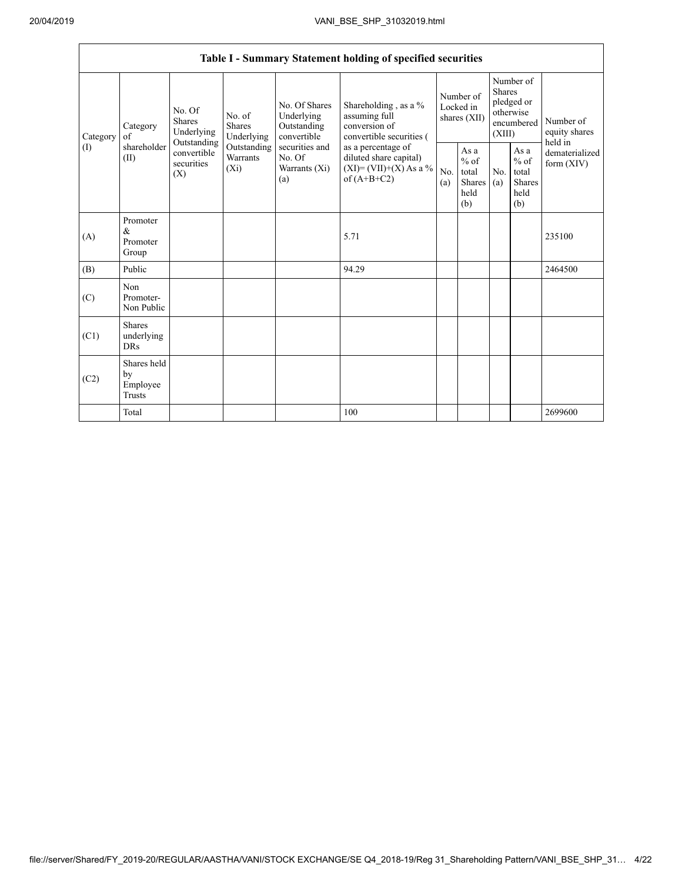|                 | Table I - Summary Statement holding of specified securities |                                                                                                                         |                         |                                                                                                               |                                                                                                                                                                                  |                                        |                                                  |                                                                        |                                                         |                                       |  |  |  |
|-----------------|-------------------------------------------------------------|-------------------------------------------------------------------------------------------------------------------------|-------------------------|---------------------------------------------------------------------------------------------------------------|----------------------------------------------------------------------------------------------------------------------------------------------------------------------------------|----------------------------------------|--------------------------------------------------|------------------------------------------------------------------------|---------------------------------------------------------|---------------------------------------|--|--|--|
| Category<br>(I) | Category<br>of<br>shareholder<br>(II)                       | No. Of<br>No. of<br><b>Shares</b><br>Shares<br>Underlying<br>Outstanding<br>convertible<br>securities<br>$(X_i)$<br>(X) | Underlying              | No. Of Shares<br>Underlying<br>Outstanding<br>convertible<br>securities and<br>No. Of<br>Warrants (Xi)<br>(a) | Shareholding, as a %<br>assuming full<br>conversion of<br>convertible securities (<br>as a percentage of<br>diluted share capital)<br>$(XI) = (VII)+(X) As a %$<br>of $(A+B+C2)$ | Number of<br>Locked in<br>shares (XII) |                                                  | Number of<br>Shares<br>pledged or<br>otherwise<br>encumbered<br>(XIII) |                                                         | Number of<br>equity shares<br>held in |  |  |  |
|                 |                                                             |                                                                                                                         | Outstanding<br>Warrants |                                                                                                               |                                                                                                                                                                                  | No.<br>(a)                             | As a<br>$%$ of<br>total<br>Shares<br>held<br>(b) | No.<br>(a)                                                             | As a<br>$%$ of<br>total<br><b>Shares</b><br>held<br>(b) | dematerialized<br>form $(XIV)$        |  |  |  |
| (A)             | Promoter<br>&<br>Promoter<br>Group                          |                                                                                                                         |                         |                                                                                                               | 5.71                                                                                                                                                                             |                                        |                                                  |                                                                        |                                                         | 235100                                |  |  |  |
| (B)             | Public                                                      |                                                                                                                         |                         |                                                                                                               | 94.29                                                                                                                                                                            |                                        |                                                  |                                                                        |                                                         | 2464500                               |  |  |  |
| (C)             | Non<br>Promoter-<br>Non Public                              |                                                                                                                         |                         |                                                                                                               |                                                                                                                                                                                  |                                        |                                                  |                                                                        |                                                         |                                       |  |  |  |
| (C1)            | <b>Shares</b><br>underlying<br><b>DRs</b>                   |                                                                                                                         |                         |                                                                                                               |                                                                                                                                                                                  |                                        |                                                  |                                                                        |                                                         |                                       |  |  |  |
| (C2)            | Shares held<br>by<br>Employee<br>Trusts                     |                                                                                                                         |                         |                                                                                                               |                                                                                                                                                                                  |                                        |                                                  |                                                                        |                                                         |                                       |  |  |  |
|                 | Total                                                       |                                                                                                                         |                         |                                                                                                               | 100                                                                                                                                                                              |                                        |                                                  |                                                                        |                                                         | 2699600                               |  |  |  |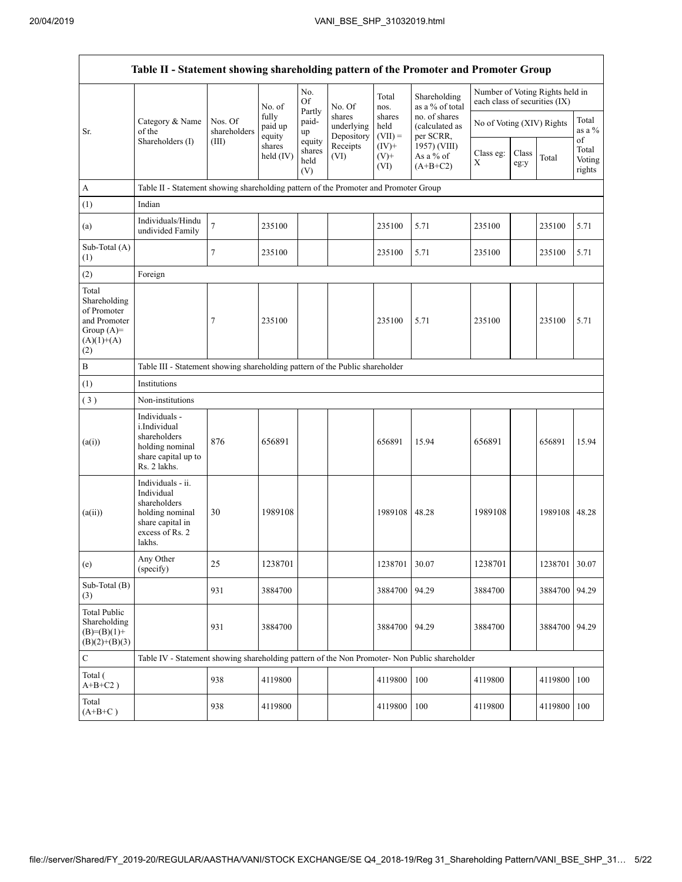| Table II - Statement showing shareholding pattern of the Promoter and Promoter Group         |                                                                                                                     |                                                                              |                            |                                 |                                    |                             |                                              |                               |               |                                 |                           |  |
|----------------------------------------------------------------------------------------------|---------------------------------------------------------------------------------------------------------------------|------------------------------------------------------------------------------|----------------------------|---------------------------------|------------------------------------|-----------------------------|----------------------------------------------|-------------------------------|---------------|---------------------------------|---------------------------|--|
|                                                                                              |                                                                                                                     |                                                                              | No. of                     | No.<br>Of                       | No. Of                             | Total<br>nos.               | Shareholding<br>as a % of total              | each class of securities (IX) |               | Number of Voting Rights held in |                           |  |
| Sr.                                                                                          | Category & Name<br>of the<br>Shareholders (I)                                                                       | Nos. Of<br>shareholders                                                      | fully<br>paid up<br>equity | Partly<br>paid-<br>up           | shares<br>underlying<br>Depository | shares<br>held<br>$(VII) =$ | no. of shares<br>(calculated as<br>per SCRR, | No of Voting (XIV) Rights     |               |                                 | Total<br>as a %<br>of     |  |
|                                                                                              |                                                                                                                     | (III)                                                                        | shares<br>held (IV)        | equity<br>shares<br>held<br>(V) | Receipts<br>(VI)                   | $(IV)+$<br>$(V)$ +<br>(VI)  | 1957) (VIII)<br>As a % of<br>$(A+B+C2)$      | Class eg:<br>X                | Class<br>eg:y | Total                           | Total<br>Voting<br>rights |  |
| A                                                                                            | Table II - Statement showing shareholding pattern of the Promoter and Promoter Group                                |                                                                              |                            |                                 |                                    |                             |                                              |                               |               |                                 |                           |  |
| (1)                                                                                          | Indian                                                                                                              |                                                                              |                            |                                 |                                    |                             |                                              |                               |               |                                 |                           |  |
| (a)                                                                                          | Individuals/Hindu<br>undivided Family                                                                               | $\tau$                                                                       | 235100                     |                                 |                                    | 235100                      | 5.71                                         | 235100                        |               | 235100                          | 5.71                      |  |
| Sub-Total (A)<br>(1)                                                                         |                                                                                                                     | 7                                                                            | 235100                     |                                 |                                    | 235100                      | 5.71                                         | 235100                        |               | 235100                          | 5.71                      |  |
| (2)                                                                                          | Foreign                                                                                                             |                                                                              |                            |                                 |                                    |                             |                                              |                               |               |                                 |                           |  |
| Total<br>Shareholding<br>of Promoter<br>and Promoter<br>Group $(A)$ =<br>$(A)(1)+(A)$<br>(2) |                                                                                                                     | 7                                                                            | 235100                     |                                 |                                    | 235100                      | 5.71                                         | 235100                        |               | 235100                          | 5.71                      |  |
| $\, {\bf B}$                                                                                 |                                                                                                                     | Table III - Statement showing shareholding pattern of the Public shareholder |                            |                                 |                                    |                             |                                              |                               |               |                                 |                           |  |
| (1)                                                                                          | Institutions                                                                                                        |                                                                              |                            |                                 |                                    |                             |                                              |                               |               |                                 |                           |  |
| (3)                                                                                          | Non-institutions                                                                                                    |                                                                              |                            |                                 |                                    |                             |                                              |                               |               |                                 |                           |  |
| (a(i))                                                                                       | Individuals -<br>i.Individual<br>shareholders<br>holding nominal<br>share capital up to<br>Rs. 2 lakhs.             | 876                                                                          | 656891                     |                                 |                                    | 656891                      | 15.94                                        | 656891                        |               | 656891                          | 15.94                     |  |
| (a(ii))                                                                                      | Individuals - ii.<br>Individual<br>shareholders<br>holding nominal<br>share capital in<br>excess of Rs. 2<br>lakhs. | 30                                                                           | 1989108                    |                                 |                                    | 1989108                     | 48.28                                        | 1989108                       |               | 1989108                         | 48.28                     |  |
| (e)                                                                                          | Any Other<br>(specify)                                                                                              | 25                                                                           | 1238701                    |                                 |                                    | 1238701 30.07               |                                              | 1238701                       |               | 1238701 30.07                   |                           |  |
| Sub-Total (B)<br>(3)                                                                         |                                                                                                                     | 931                                                                          | 3884700                    |                                 |                                    | 3884700                     | 94.29                                        | 3884700                       |               | 3884700                         | 94.29                     |  |
| <b>Total Public</b><br>Shareholding<br>$(B)=(B)(1)+$<br>$(B)(2)+(B)(3)$                      |                                                                                                                     | 931                                                                          | 3884700                    |                                 |                                    | 3884700                     | 94.29                                        | 3884700                       |               | 3884700                         | 94.29                     |  |
| $\mathbf C$                                                                                  | Table IV - Statement showing shareholding pattern of the Non Promoter- Non Public shareholder                       |                                                                              |                            |                                 |                                    |                             |                                              |                               |               |                                 |                           |  |
| Total (<br>$A+B+C2$ )                                                                        |                                                                                                                     | 938                                                                          | 4119800                    |                                 |                                    | 4119800                     | 100                                          | 4119800                       |               | 4119800                         | 100                       |  |
| Total<br>$(A+B+C)$                                                                           |                                                                                                                     | 938                                                                          | 4119800                    |                                 |                                    | 4119800                     | 100                                          | 4119800                       |               | 4119800                         | 100                       |  |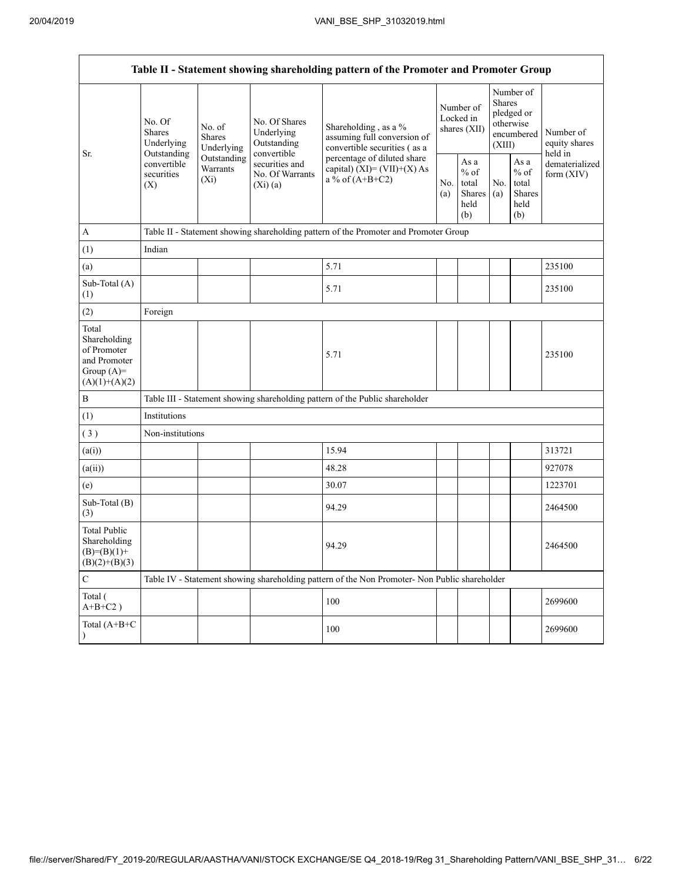Г

|                                                                                         | Table II - Statement showing shareholding pattern of the Promoter and Promoter Group                                                       |             |                                                             |                                                                                                                                                                           |  |                                                  |            |                                                                        |                                       |  |  |  |  |  |
|-----------------------------------------------------------------------------------------|--------------------------------------------------------------------------------------------------------------------------------------------|-------------|-------------------------------------------------------------|---------------------------------------------------------------------------------------------------------------------------------------------------------------------------|--|--------------------------------------------------|------------|------------------------------------------------------------------------|---------------------------------------|--|--|--|--|--|
|                                                                                         | No. Of<br>No. of<br><b>Shares</b><br><b>Shares</b><br>Underlying<br>Outstanding<br>convertible<br>Warrants<br>securities<br>$(X_i)$<br>(X) | Underlying  | No. Of Shares<br>Underlying<br>Outstanding                  | Shareholding, as a %<br>assuming full conversion of<br>convertible securities (as a<br>percentage of diluted share<br>capital) $(XI) = (VII)+(X) As$<br>a % of $(A+B+C2)$ |  | Number of<br>Locked in<br>shares (XII)           |            | Number of<br>Shares<br>pledged or<br>otherwise<br>encumbered<br>(XIII) | Number of<br>equity shares<br>held in |  |  |  |  |  |
| Sr.                                                                                     |                                                                                                                                            | Outstanding | convertible<br>securities and<br>No. Of Warrants<br>(Xi)(a) |                                                                                                                                                                           |  | As a<br>$%$ of<br>total<br>Shares<br>held<br>(b) | No.<br>(a) | As $\mathbf a$<br>$%$ of<br>total<br>Shares<br>held<br>(b)             | dematerialized<br>form $(XIV)$        |  |  |  |  |  |
| $\mathbf{A}$                                                                            |                                                                                                                                            |             |                                                             | Table II - Statement showing shareholding pattern of the Promoter and Promoter Group                                                                                      |  |                                                  |            |                                                                        |                                       |  |  |  |  |  |
| (1)                                                                                     | Indian                                                                                                                                     |             |                                                             |                                                                                                                                                                           |  |                                                  |            |                                                                        |                                       |  |  |  |  |  |
| (a)                                                                                     |                                                                                                                                            |             |                                                             | 5.71                                                                                                                                                                      |  |                                                  |            |                                                                        | 235100                                |  |  |  |  |  |
| Sub-Total (A)<br>(1)                                                                    |                                                                                                                                            |             |                                                             | 5.71                                                                                                                                                                      |  |                                                  |            |                                                                        | 235100                                |  |  |  |  |  |
| (2)                                                                                     | Foreign                                                                                                                                    |             |                                                             |                                                                                                                                                                           |  |                                                  |            |                                                                        |                                       |  |  |  |  |  |
| Total<br>Shareholding<br>of Promoter<br>and Promoter<br>Group $(A)=$<br>$(A)(1)+(A)(2)$ |                                                                                                                                            |             |                                                             | 5.71                                                                                                                                                                      |  |                                                  |            |                                                                        | 235100                                |  |  |  |  |  |
| B                                                                                       |                                                                                                                                            |             |                                                             | Table III - Statement showing shareholding pattern of the Public shareholder                                                                                              |  |                                                  |            |                                                                        |                                       |  |  |  |  |  |
| (1)                                                                                     | Institutions                                                                                                                               |             |                                                             |                                                                                                                                                                           |  |                                                  |            |                                                                        |                                       |  |  |  |  |  |
| (3)                                                                                     | Non-institutions                                                                                                                           |             |                                                             |                                                                                                                                                                           |  |                                                  |            |                                                                        |                                       |  |  |  |  |  |
| (a(i))                                                                                  |                                                                                                                                            |             |                                                             | 15.94                                                                                                                                                                     |  |                                                  |            |                                                                        | 313721                                |  |  |  |  |  |
| (a(ii))                                                                                 |                                                                                                                                            |             |                                                             | 48.28                                                                                                                                                                     |  |                                                  |            |                                                                        | 927078                                |  |  |  |  |  |
| (e)                                                                                     |                                                                                                                                            |             |                                                             | 30.07                                                                                                                                                                     |  |                                                  |            |                                                                        | 1223701                               |  |  |  |  |  |
| Sub-Total (B)<br>(3)                                                                    |                                                                                                                                            |             |                                                             | 94.29                                                                                                                                                                     |  |                                                  |            |                                                                        | 2464500                               |  |  |  |  |  |
| <b>Total Public</b><br>Shareholding<br>$(B)= (B)(1) +$<br>$(B)(2)+(B)(3)$               |                                                                                                                                            |             |                                                             | 94.29                                                                                                                                                                     |  |                                                  |            |                                                                        | 2464500                               |  |  |  |  |  |
| $\mathbf C$                                                                             |                                                                                                                                            |             |                                                             | Table IV - Statement showing shareholding pattern of the Non Promoter- Non Public shareholder                                                                             |  |                                                  |            |                                                                        |                                       |  |  |  |  |  |
| Total (<br>$A+B+C2$ )                                                                   |                                                                                                                                            |             |                                                             | 100                                                                                                                                                                       |  |                                                  |            |                                                                        | 2699600                               |  |  |  |  |  |
| Total (A+B+C                                                                            |                                                                                                                                            |             |                                                             | 100                                                                                                                                                                       |  |                                                  |            |                                                                        | 2699600                               |  |  |  |  |  |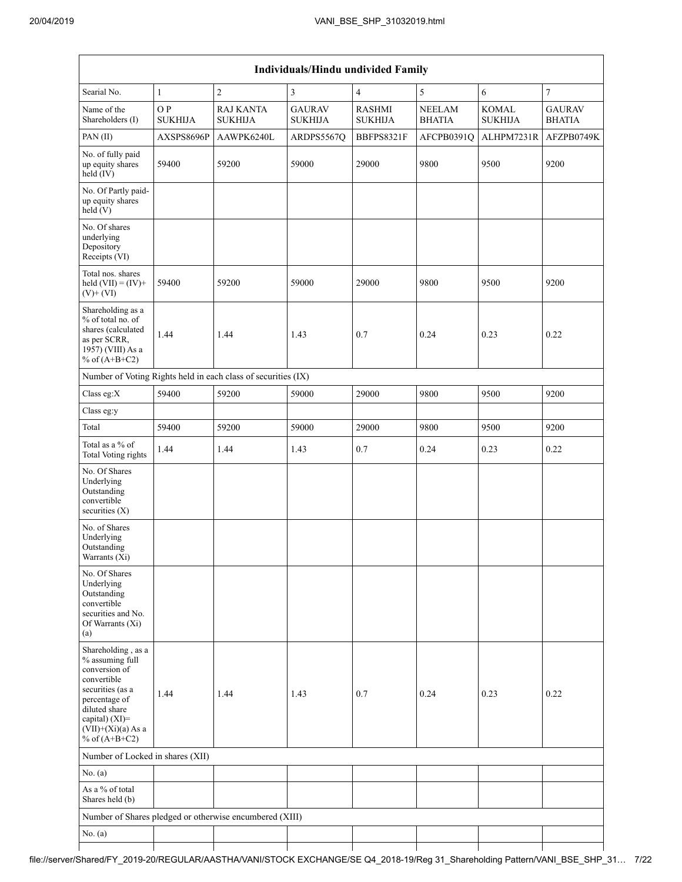| <b>Individuals/Hindu undivided Family</b>                                                                                                                                                |                       |                                                               |                                 |                                 |                                |                                |                                |  |  |  |  |  |
|------------------------------------------------------------------------------------------------------------------------------------------------------------------------------------------|-----------------------|---------------------------------------------------------------|---------------------------------|---------------------------------|--------------------------------|--------------------------------|--------------------------------|--|--|--|--|--|
| Searial No.                                                                                                                                                                              | 1                     | $\overline{c}$                                                | $\mathfrak{Z}$                  | $\overline{4}$                  | 5                              | 6                              | $\boldsymbol{7}$               |  |  |  |  |  |
| Name of the<br>Shareholders (I)                                                                                                                                                          | O P<br><b>SUKHIJA</b> | <b>RAJ KANTA</b><br><b>SUKHIJA</b>                            | <b>GAURAV</b><br><b>SUKHIJA</b> | <b>RASHMI</b><br><b>SUKHIJA</b> | <b>NEELAM</b><br><b>BHATIA</b> | <b>KOMAL</b><br><b>SUKHIJA</b> | <b>GAURAV</b><br><b>BHATIA</b> |  |  |  |  |  |
| PAN(II)                                                                                                                                                                                  | AXSPS8696P            | AAWPK6240L                                                    | ARDPS5567Q                      | BBFPS8321F                      | AFCPB0391Q                     | ALHPM7231R                     | AFZPB0749K                     |  |  |  |  |  |
| No. of fully paid<br>up equity shares<br>held (IV)                                                                                                                                       | 59400                 | 59200                                                         | 59000                           | 29000                           | 9800                           | 9500                           | 9200                           |  |  |  |  |  |
| No. Of Partly paid-<br>up equity shares<br>held(V)                                                                                                                                       |                       |                                                               |                                 |                                 |                                |                                |                                |  |  |  |  |  |
| No. Of shares<br>underlying<br>Depository<br>Receipts (VI)                                                                                                                               |                       |                                                               |                                 |                                 |                                |                                |                                |  |  |  |  |  |
| Total nos. shares<br>held $(VII) = (IV) +$<br>$(V)$ + $(VI)$                                                                                                                             | 59400                 | 59200                                                         | 59000                           | 29000                           | 9800                           | 9500                           | 9200                           |  |  |  |  |  |
| Shareholding as a<br>% of total no. of<br>shares (calculated<br>as per SCRR,<br>1957) (VIII) As a<br>% of $(A+B+C2)$                                                                     | 1.44                  | 1.44                                                          | 1.43                            | 0.7                             | 0.24                           | 0.23                           | 0.22                           |  |  |  |  |  |
|                                                                                                                                                                                          |                       | Number of Voting Rights held in each class of securities (IX) |                                 |                                 |                                |                                |                                |  |  |  |  |  |
| Class eg:X                                                                                                                                                                               | 59400                 | 59200                                                         | 59000                           | 29000                           | 9800                           | 9500                           | 9200                           |  |  |  |  |  |
| Class eg:y                                                                                                                                                                               |                       |                                                               |                                 |                                 |                                |                                |                                |  |  |  |  |  |
| Total                                                                                                                                                                                    | 59400                 | 59200                                                         | 59000                           | 29000                           | 9800                           | 9500                           | 9200                           |  |  |  |  |  |
| Total as a % of<br>Total Voting rights                                                                                                                                                   | 1.44                  | 1.44                                                          | 1.43                            | 0.7                             | 0.24                           | 0.23                           | 0.22                           |  |  |  |  |  |
| No. Of Shares<br>Underlying<br>Outstanding<br>convertible<br>securities $(X)$                                                                                                            |                       |                                                               |                                 |                                 |                                |                                |                                |  |  |  |  |  |
| No. of Shares<br>Underlying<br>Outstanding<br>Warrants (Xi)                                                                                                                              |                       |                                                               |                                 |                                 |                                |                                |                                |  |  |  |  |  |
| No. Of Shares<br>Underlying<br>Outstanding<br>convertible<br>securities and No.<br>Of Warrants (Xi)<br>(a)                                                                               |                       |                                                               |                                 |                                 |                                |                                |                                |  |  |  |  |  |
| Shareholding, as a<br>% assuming full<br>conversion of<br>convertible<br>securities (as a<br>percentage of<br>diluted share<br>capital) (XI)=<br>$(VII)+(Xi)(a) As a$<br>% of $(A+B+C2)$ | 1.44                  | 1.44                                                          | 1.43                            | 0.7                             | 0.24                           | 0.23                           | 0.22                           |  |  |  |  |  |
| Number of Locked in shares (XII)                                                                                                                                                         |                       |                                                               |                                 |                                 |                                |                                |                                |  |  |  |  |  |
| No. $(a)$                                                                                                                                                                                |                       |                                                               |                                 |                                 |                                |                                |                                |  |  |  |  |  |
| As a % of total<br>Shares held (b)                                                                                                                                                       |                       |                                                               |                                 |                                 |                                |                                |                                |  |  |  |  |  |
|                                                                                                                                                                                          |                       | Number of Shares pledged or otherwise encumbered (XIII)       |                                 |                                 |                                |                                |                                |  |  |  |  |  |
| No. (a)                                                                                                                                                                                  |                       |                                                               |                                 |                                 |                                |                                |                                |  |  |  |  |  |

## file://server/Shared/FY\_2019-20/REGULAR/AASTHA/VANI/STOCK EXCHANGE/SE Q4\_2018-19/Reg 31\_Shareholding Pattern/VANI\_BSE\_SHP\_31… 7/22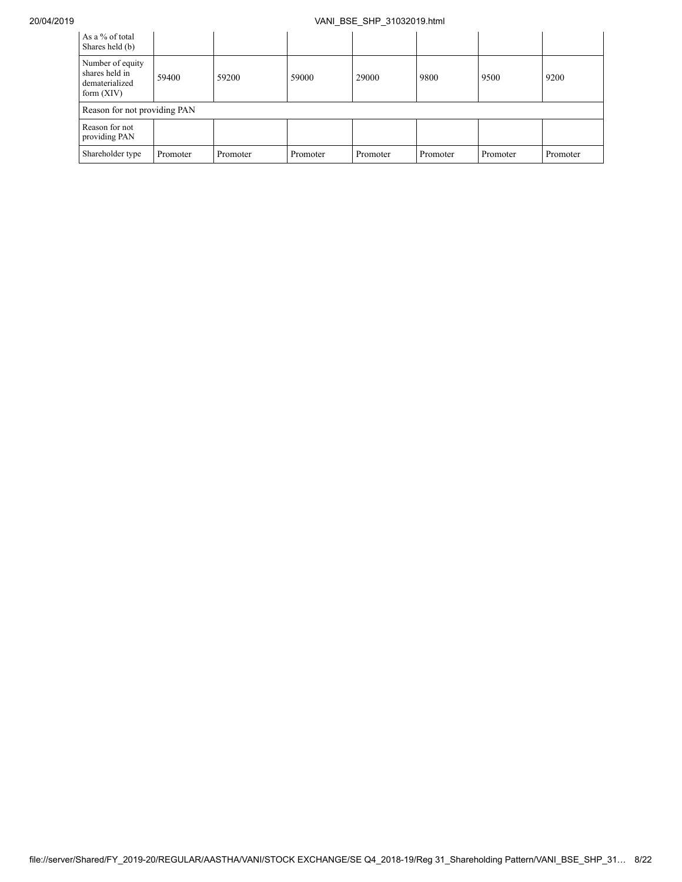## 20/04/2019 VANI\_BSE\_SHP\_31032019.html

| As a % of total<br>Shares held (b)                                   |          |          |          |          |          |          |          |
|----------------------------------------------------------------------|----------|----------|----------|----------|----------|----------|----------|
| Number of equity<br>shares held in<br>dematerialized<br>form $(XIV)$ | 59400    | 59200    | 59000    | 29000    | 9800     | 9500     | 9200     |
| Reason for not providing PAN                                         |          |          |          |          |          |          |          |
| Reason for not<br>providing PAN                                      |          |          |          |          |          |          |          |
| Shareholder type                                                     | Promoter | Promoter | Promoter | Promoter | Promoter | Promoter | Promoter |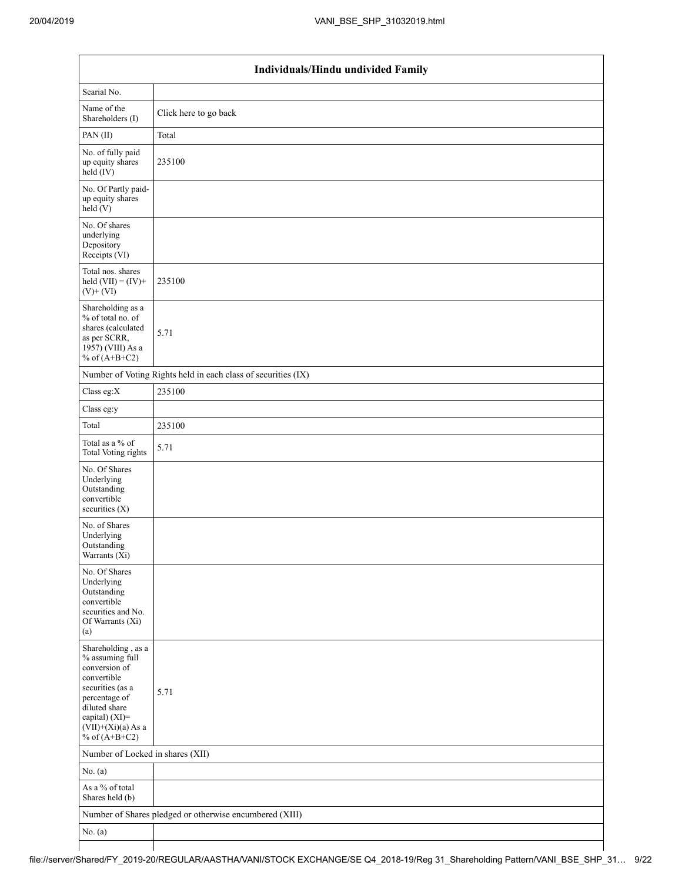|                                                                                                                                                                                          | Individuals/Hindu undivided Family                            |
|------------------------------------------------------------------------------------------------------------------------------------------------------------------------------------------|---------------------------------------------------------------|
| Searial No.                                                                                                                                                                              |                                                               |
| Name of the<br>Shareholders (I)                                                                                                                                                          | Click here to go back                                         |
| PAN(II)                                                                                                                                                                                  | Total                                                         |
| No. of fully paid<br>up equity shares<br>$\text{held}(\text{IV})$                                                                                                                        | 235100                                                        |
| No. Of Partly paid-<br>up equity shares<br>held(V)                                                                                                                                       |                                                               |
| No. Of shares<br>underlying<br>Depository<br>Receipts (VI)                                                                                                                               |                                                               |
| Total nos. shares<br>held $(VII) = (IV) +$<br>$(V)$ + $(VI)$                                                                                                                             | 235100                                                        |
| Shareholding as a<br>% of total no. of<br>shares (calculated<br>as per SCRR,<br>1957) (VIII) As a<br>% of $(A+B+C2)$                                                                     | 5.71                                                          |
|                                                                                                                                                                                          | Number of Voting Rights held in each class of securities (IX) |
| Class eg:X                                                                                                                                                                               | 235100                                                        |
| Class eg:y                                                                                                                                                                               |                                                               |
| Total                                                                                                                                                                                    | 235100                                                        |
| Total as a % of<br><b>Total Voting rights</b>                                                                                                                                            | 5.71                                                          |
| No. Of Shares<br>Underlying<br>Outstanding<br>convertible<br>securities $(X)$                                                                                                            |                                                               |
| No. of Shares<br>Underlying<br>Outstanding<br>Warrants (Xi)                                                                                                                              |                                                               |
| No. Of Shares<br>Underlying<br>Outstanding<br>convertible<br>securities and No.<br>Of Warrants (Xi)<br>(a)                                                                               |                                                               |
| Shareholding, as a<br>% assuming full<br>conversion of<br>convertible<br>securities (as a<br>percentage of<br>diluted share<br>capital) (XI)=<br>$(VII)+(Xi)(a)$ As a<br>% of $(A+B+C2)$ | 5.71                                                          |
| Number of Locked in shares (XII)                                                                                                                                                         |                                                               |
| No. (a)                                                                                                                                                                                  |                                                               |
| As a % of total<br>Shares held (b)                                                                                                                                                       |                                                               |
|                                                                                                                                                                                          | Number of Shares pledged or otherwise encumbered (XIII)       |
| No. $(a)$                                                                                                                                                                                |                                                               |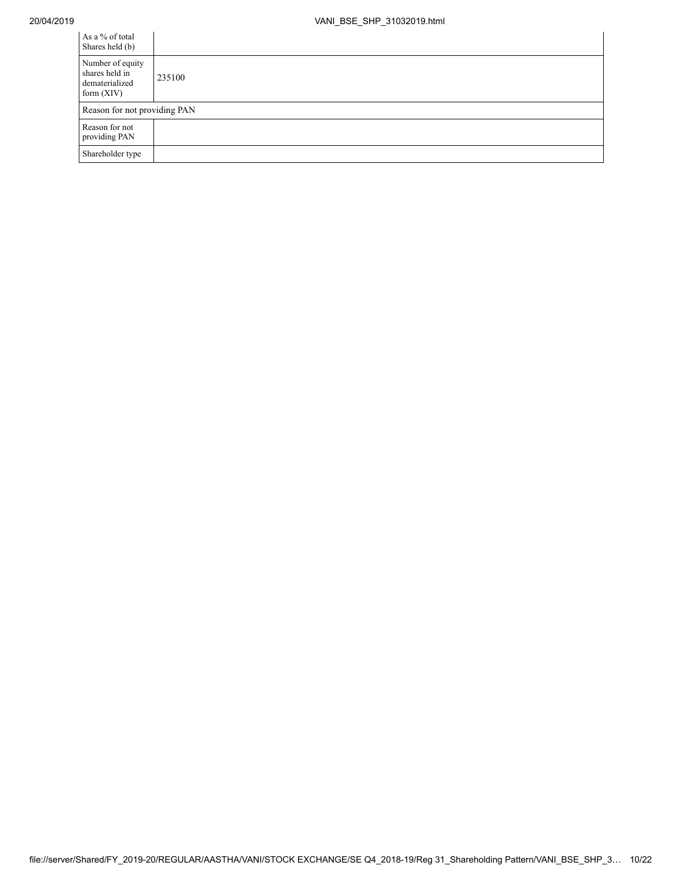| As a % of total<br>Shares held (b)                                   |        |
|----------------------------------------------------------------------|--------|
| Number of equity<br>shares held in<br>dematerialized<br>form $(XIV)$ | 235100 |
| Reason for not providing PAN                                         |        |
| Reason for not<br>providing PAN                                      |        |
| Shareholder type                                                     |        |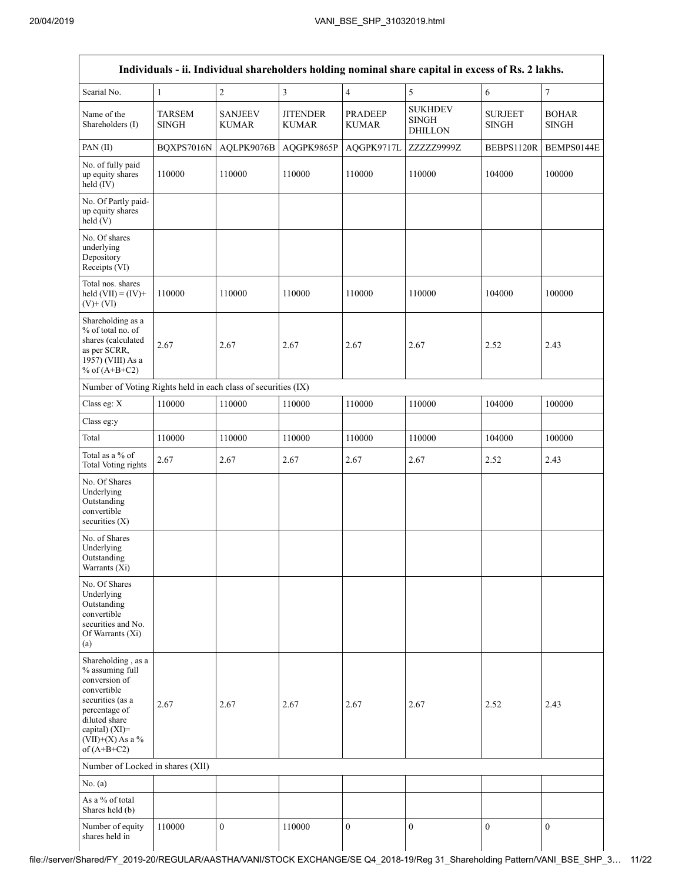|                                                                                                                                                                                      |                               |                                |                                 |                                | Individuals - ii. Individual shareholders holding nominal share capital in excess of Rs. 2 lakhs. |                                |                              |
|--------------------------------------------------------------------------------------------------------------------------------------------------------------------------------------|-------------------------------|--------------------------------|---------------------------------|--------------------------------|---------------------------------------------------------------------------------------------------|--------------------------------|------------------------------|
| Searial No.                                                                                                                                                                          | 1                             | $\sqrt{2}$                     | $\overline{\mathbf{3}}$         | $\overline{4}$                 | 5                                                                                                 | 6                              | $\overline{7}$               |
| Name of the<br>Shareholders (I)                                                                                                                                                      | <b>TARSEM</b><br><b>SINGH</b> | <b>SANJEEV</b><br><b>KUMAR</b> | <b>JITENDER</b><br><b>KUMAR</b> | <b>PRADEEP</b><br><b>KUMAR</b> | <b>SUKHDEV</b><br><b>SINGH</b><br><b>DHILLON</b>                                                  | <b>SURJEET</b><br><b>SINGH</b> | <b>BOHAR</b><br><b>SINGH</b> |
| PAN (II)                                                                                                                                                                             | BQXPS7016N                    | AQLPK9076B                     | AQGPK9865P                      | AQGPK9717L                     | ZZZZZ9999Z                                                                                        | BEBPS1120R                     | BEMPS0144E                   |
| No. of fully paid<br>up equity shares<br>held (IV)                                                                                                                                   | 110000                        | 110000                         | 110000                          | 110000                         | 110000                                                                                            | 104000                         | 100000                       |
| No. Of Partly paid-<br>up equity shares<br>held(V)                                                                                                                                   |                               |                                |                                 |                                |                                                                                                   |                                |                              |
| No. Of shares<br>underlying<br>Depository<br>Receipts (VI)                                                                                                                           |                               |                                |                                 |                                |                                                                                                   |                                |                              |
| Total nos. shares<br>held $(VII) = (IV) +$<br>$(V)$ + $(VI)$                                                                                                                         | 110000                        | 110000                         | 110000                          | 110000                         | 110000                                                                                            | 104000                         | 100000                       |
| Shareholding as a<br>% of total no. of<br>shares (calculated<br>as per SCRR,<br>1957) (VIII) As a<br>% of $(A+B+C2)$                                                                 | 2.67                          | 2.67                           | 2.67                            | 2.67                           | 2.67                                                                                              | 2.52                           | 2.43                         |
| Number of Voting Rights held in each class of securities (IX)                                                                                                                        |                               |                                |                                 |                                |                                                                                                   |                                |                              |
| Class eg: X                                                                                                                                                                          | 110000                        | 110000                         | 110000                          | 110000                         | 110000                                                                                            | 104000                         | 100000                       |
| Class eg:y                                                                                                                                                                           |                               |                                |                                 |                                |                                                                                                   |                                |                              |
| Total                                                                                                                                                                                | 110000                        | 110000                         | 110000                          | 110000                         | 110000                                                                                            | 104000                         | 100000                       |
| Total as a % of<br>Total Voting rights                                                                                                                                               | 2.67                          | 2.67                           | 2.67                            | 2.67                           | 2.67                                                                                              | 2.52                           | 2.43                         |
| No. Of Shares<br>Underlying<br>Outstanding<br>convertible<br>securities $(X)$                                                                                                        |                               |                                |                                 |                                |                                                                                                   |                                |                              |
| No. of Shares<br>Underlying<br>Outstanding<br>Warrants (Xi)                                                                                                                          |                               |                                |                                 |                                |                                                                                                   |                                |                              |
| No. Of Shares<br>Underlying<br>Outstanding<br>convertible<br>securities and No.<br>Of Warrants (Xi)<br>(a)                                                                           |                               |                                |                                 |                                |                                                                                                   |                                |                              |
| Shareholding, as a<br>% assuming full<br>conversion of<br>convertible<br>securities (as a<br>percentage of<br>diluted share<br>capital) (XI)=<br>$(VII)+(X)$ As a %<br>of $(A+B+C2)$ | 2.67                          | 2.67                           | 2.67                            | 2.67                           | 2.67                                                                                              | 2.52                           | 2.43                         |
| Number of Locked in shares (XII)                                                                                                                                                     |                               |                                |                                 |                                |                                                                                                   |                                |                              |
| No. (a)                                                                                                                                                                              |                               |                                |                                 |                                |                                                                                                   |                                |                              |
| As a % of total<br>Shares held (b)                                                                                                                                                   |                               |                                |                                 |                                |                                                                                                   |                                |                              |
| Number of equity<br>shares held in                                                                                                                                                   | 110000                        | $\boldsymbol{0}$               | 110000                          | $\boldsymbol{0}$               | $\boldsymbol{0}$                                                                                  | $\mathbf{0}$                   | $\mathbf{0}$                 |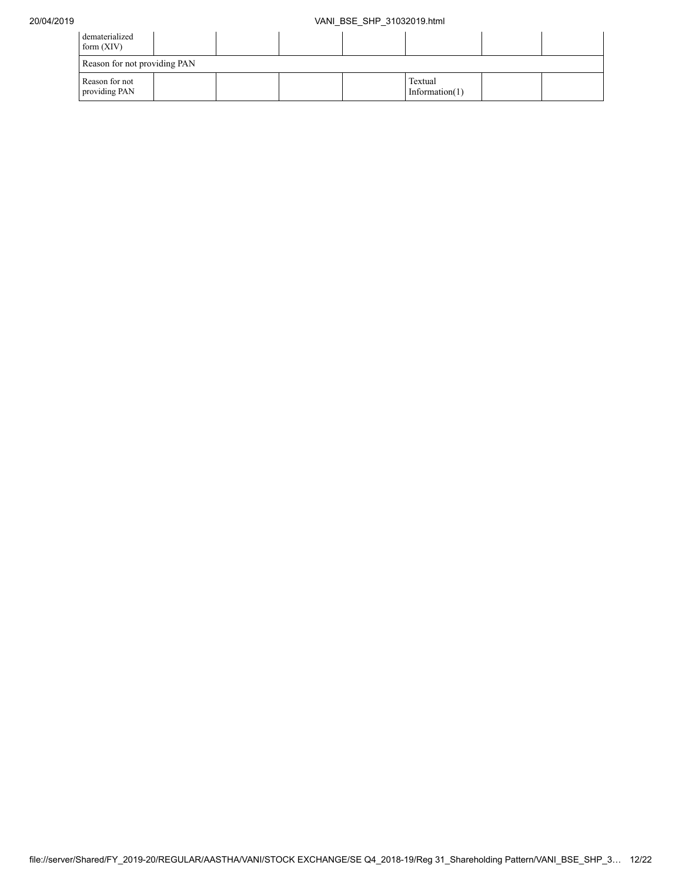| dematerialized<br>form $(XIV)$  |                              |  |  |  |  |  |  |  |  |  |
|---------------------------------|------------------------------|--|--|--|--|--|--|--|--|--|
| Reason for not providing PAN    |                              |  |  |  |  |  |  |  |  |  |
| Reason for not<br>providing PAN | Textual<br>Information $(1)$ |  |  |  |  |  |  |  |  |  |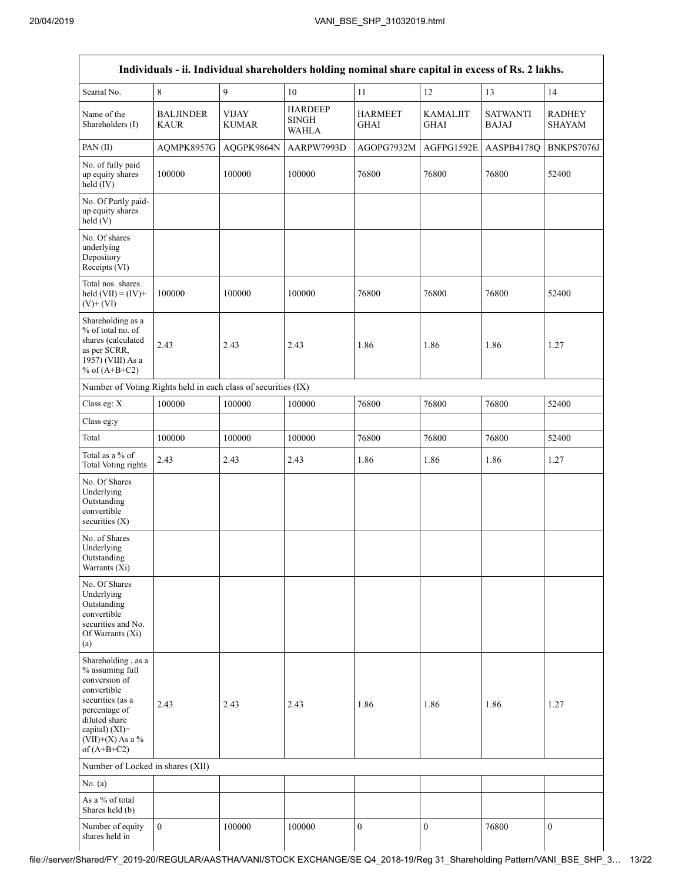|                                                                                                                                                                                      |                                 |                              | Individuals - ii. Individual shareholders holding nominal share capital in excess of Rs. 2 lakhs. |                               |                                |                                 |                                |
|--------------------------------------------------------------------------------------------------------------------------------------------------------------------------------------|---------------------------------|------------------------------|---------------------------------------------------------------------------------------------------|-------------------------------|--------------------------------|---------------------------------|--------------------------------|
| Searial No.                                                                                                                                                                          | 8                               | 9                            | 10                                                                                                | 11                            | 12                             | 13                              | 14                             |
| Name of the<br>Shareholders (I)                                                                                                                                                      | <b>BALJINDER</b><br><b>KAUR</b> | <b>VIJAY</b><br><b>KUMAR</b> | <b>HARDEEP</b><br><b>SINGH</b><br><b>WAHLA</b>                                                    | <b>HARMEET</b><br><b>GHAI</b> | <b>KAMALJIT</b><br><b>GHAI</b> | <b>SATWANTI</b><br><b>BAJAJ</b> | <b>RADHEY</b><br><b>SHAYAM</b> |
| PAN(II)                                                                                                                                                                              | AQMPK8957G                      | AQGPK9864N                   | AARPW7993D                                                                                        | AGOPG7932M                    | AGFPG1592E                     | AASPB4178Q                      | BNKPS7076J                     |
| No. of fully paid<br>up equity shares<br>held (IV)                                                                                                                                   | 100000                          | 100000                       | 100000                                                                                            | 76800                         | 76800                          | 76800                           | 52400                          |
| No. Of Partly paid-<br>up equity shares<br>held(V)                                                                                                                                   |                                 |                              |                                                                                                   |                               |                                |                                 |                                |
| No. Of shares<br>underlying<br>Depository<br>Receipts (VI)                                                                                                                           |                                 |                              |                                                                                                   |                               |                                |                                 |                                |
| Total nos. shares<br>held $(VII) = (IV) +$<br>$(V)$ + $(VI)$                                                                                                                         | 100000                          | 100000                       | 100000                                                                                            | 76800                         | 76800                          | 76800                           | 52400                          |
| Shareholding as a<br>% of total no. of<br>shares (calculated<br>as per SCRR,<br>1957) (VIII) As a<br>% of $(A+B+C2)$                                                                 | 2.43                            | 2.43                         | 2.43                                                                                              | 1.86                          | 1.86                           | 1.86                            | 1.27                           |
| Number of Voting Rights held in each class of securities (IX)                                                                                                                        |                                 |                              |                                                                                                   |                               |                                |                                 |                                |
| Class eg: X                                                                                                                                                                          | 100000                          | 100000                       | 100000                                                                                            | 76800                         | 76800                          | 76800                           | 52400                          |
| Class eg:y                                                                                                                                                                           |                                 |                              |                                                                                                   |                               |                                |                                 |                                |
| Total                                                                                                                                                                                | 100000                          | 100000                       | 100000                                                                                            | 76800                         | 76800                          | 76800                           | 52400                          |
| Total as a % of<br>Total Voting rights                                                                                                                                               | 2.43                            | 2.43                         | 2.43                                                                                              | 1.86                          | 1.86                           | 1.86                            | 1.27                           |
| No. Of Shares<br>Underlying<br>Outstanding<br>convertible<br>securities $(X)$                                                                                                        |                                 |                              |                                                                                                   |                               |                                |                                 |                                |
| No. of Shares<br>Underlying<br>Outstanding<br>Warrants (Xi)                                                                                                                          |                                 |                              |                                                                                                   |                               |                                |                                 |                                |
| No. Of Shares<br>Underlying<br>Outstanding<br>convertible<br>securities and No.<br>Of Warrants (Xi)<br>(a)                                                                           |                                 |                              |                                                                                                   |                               |                                |                                 |                                |
| Shareholding, as a<br>% assuming full<br>conversion of<br>convertible<br>securities (as a<br>percentage of<br>diluted share<br>capital) (XI)=<br>$(VII)+(X)$ As a %<br>of $(A+B+C2)$ | 2.43                            | 2.43                         | 2.43                                                                                              | 1.86                          | 1.86                           | 1.86                            | 1.27                           |
| Number of Locked in shares (XII)                                                                                                                                                     |                                 |                              |                                                                                                   |                               |                                |                                 |                                |
| No. (a)                                                                                                                                                                              |                                 |                              |                                                                                                   |                               |                                |                                 |                                |
| As a % of total<br>Shares held (b)                                                                                                                                                   |                                 |                              |                                                                                                   |                               |                                |                                 |                                |
| Number of equity<br>shares held in                                                                                                                                                   | $\mathbf{0}$                    | 100000                       | 100000                                                                                            | $\boldsymbol{0}$              | $\boldsymbol{0}$               | 76800                           | $\boldsymbol{0}$               |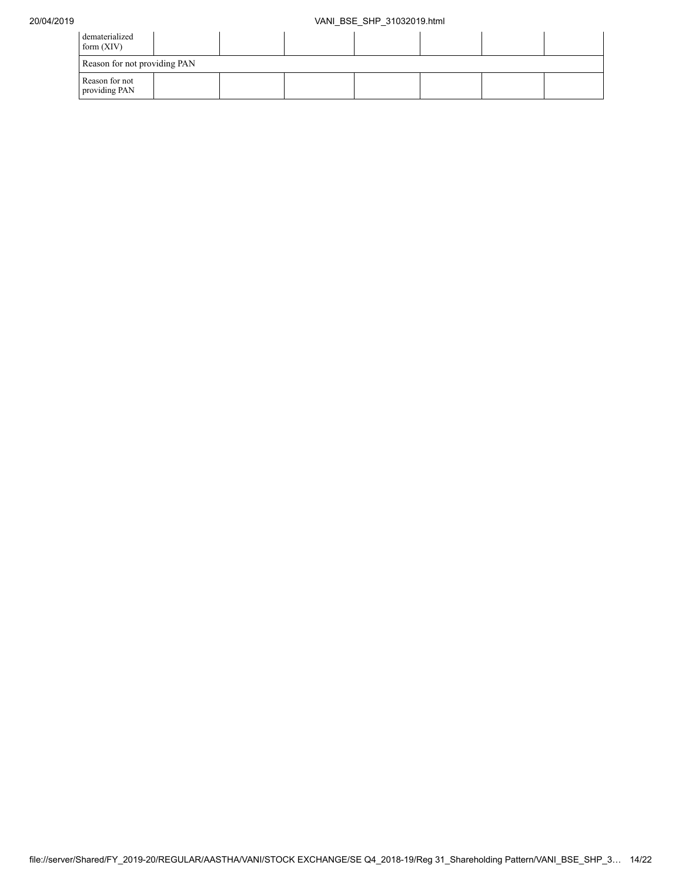| dematerialized<br>form $(XIV)$  |  |  |  |  |  |  |  |
|---------------------------------|--|--|--|--|--|--|--|
| Reason for not providing PAN    |  |  |  |  |  |  |  |
| Reason for not<br>providing PAN |  |  |  |  |  |  |  |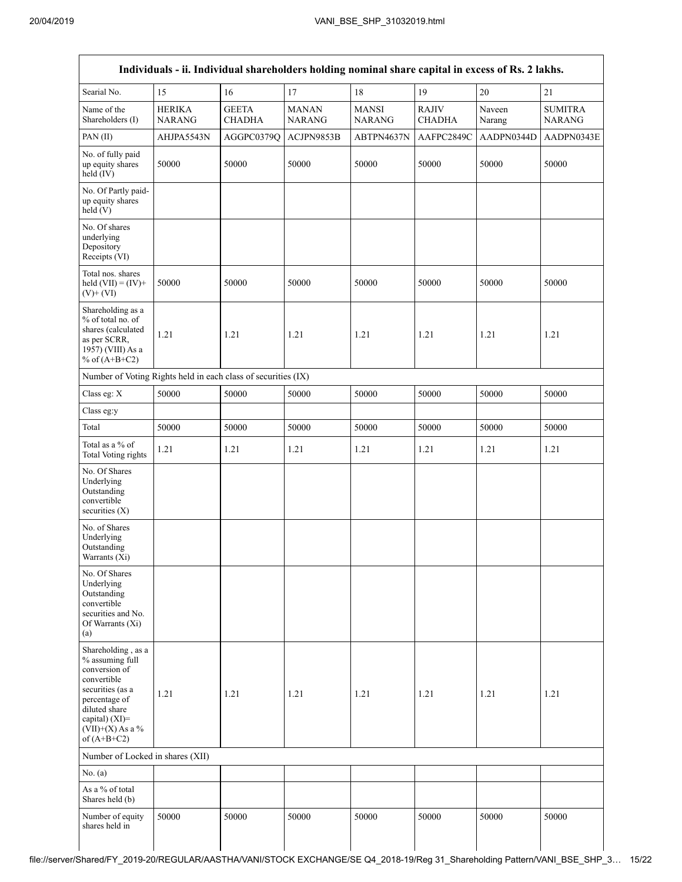| Individuals - ii. Individual shareholders holding nominal share capital in excess of Rs. 2 lakhs.                                                                                       |                                |                               |                               |                               |                               |                  |                                 |  |
|-----------------------------------------------------------------------------------------------------------------------------------------------------------------------------------------|--------------------------------|-------------------------------|-------------------------------|-------------------------------|-------------------------------|------------------|---------------------------------|--|
| Searial No.                                                                                                                                                                             | 15                             | 16                            | 17                            | 18                            | 19                            | 20               | $21\,$                          |  |
| Name of the<br>Shareholders (I)                                                                                                                                                         | <b>HERIKA</b><br><b>NARANG</b> | <b>GEETA</b><br><b>CHADHA</b> | <b>MANAN</b><br><b>NARANG</b> | <b>MANSI</b><br><b>NARANG</b> | <b>RAJIV</b><br><b>CHADHA</b> | Naveen<br>Narang | <b>SUMITRA</b><br><b>NARANG</b> |  |
| PAN(II)                                                                                                                                                                                 | AHJPA5543N                     | AGGPC0379Q                    | ACJPN9853B                    | ABTPN4637N                    | AAFPC2849C                    | AADPN0344D       | AADPN0343E                      |  |
| No. of fully paid<br>up equity shares<br>held (IV)                                                                                                                                      | 50000                          | 50000                         | 50000                         | 50000                         | 50000                         | 50000            | 50000                           |  |
| No. Of Partly paid-<br>up equity shares<br>held(V)                                                                                                                                      |                                |                               |                               |                               |                               |                  |                                 |  |
| No. Of shares<br>underlying<br>Depository<br>Receipts (VI)                                                                                                                              |                                |                               |                               |                               |                               |                  |                                 |  |
| Total nos. shares<br>held $(VII) = (IV) +$<br>$(V)$ + $(VI)$                                                                                                                            | 50000                          | 50000                         | 50000                         | 50000                         | 50000                         | 50000            | 50000                           |  |
| Shareholding as a<br>% of total no. of<br>shares (calculated<br>as per SCRR,<br>1957) (VIII) As a<br>% of $(A+B+C2)$                                                                    | 1.21                           | 1.21                          | 1.21                          | 1.21                          | 1.21                          | 1.21             | 1.21                            |  |
| Number of Voting Rights held in each class of securities (IX)                                                                                                                           |                                |                               |                               |                               |                               |                  |                                 |  |
| Class eg: X                                                                                                                                                                             | 50000                          | 50000                         | 50000                         | 50000                         | 50000                         | 50000            | 50000                           |  |
| Class eg:y                                                                                                                                                                              |                                |                               |                               |                               |                               |                  |                                 |  |
| Total                                                                                                                                                                                   | 50000                          | 50000                         | 50000                         | 50000                         | 50000                         | 50000            | 50000                           |  |
| Total as a % of<br>Total Voting rights                                                                                                                                                  | 1.21                           | 1.21                          | 1.21                          | 1.21                          | 1.21                          | 1.21             | 1.21                            |  |
| No. Of Shares<br>Underlying<br>Outstanding<br>convertible<br>securities $(X)$                                                                                                           |                                |                               |                               |                               |                               |                  |                                 |  |
| No. of Shares<br>Underlying<br>Outstanding<br>Warrants $(X_i)$                                                                                                                          |                                |                               |                               |                               |                               |                  |                                 |  |
| No. Of Shares<br>Underlying<br>Outstanding<br>convertible<br>securities and No.<br>Of Warrants (Xi)<br>(a)                                                                              |                                |                               |                               |                               |                               |                  |                                 |  |
| Shareholding, as a<br>% assuming full<br>conversion of<br>convertible<br>securities (as a<br>percentage of<br>diluted share<br>capital) $(XI)$ =<br>$(VII)+(X)$ As a %<br>of $(A+B+C2)$ | 1.21                           | 1.21                          | 1.21                          | 1.21                          | 1.21                          | 1.21             | 1.21                            |  |
| Number of Locked in shares (XII)                                                                                                                                                        |                                |                               |                               |                               |                               |                  |                                 |  |
| No. $(a)$                                                                                                                                                                               |                                |                               |                               |                               |                               |                  |                                 |  |
| As a % of total<br>Shares held (b)                                                                                                                                                      |                                |                               |                               |                               |                               |                  |                                 |  |
| Number of equity<br>shares held in                                                                                                                                                      | 50000                          | 50000                         | 50000                         | 50000                         | 50000                         | 50000            | 50000                           |  |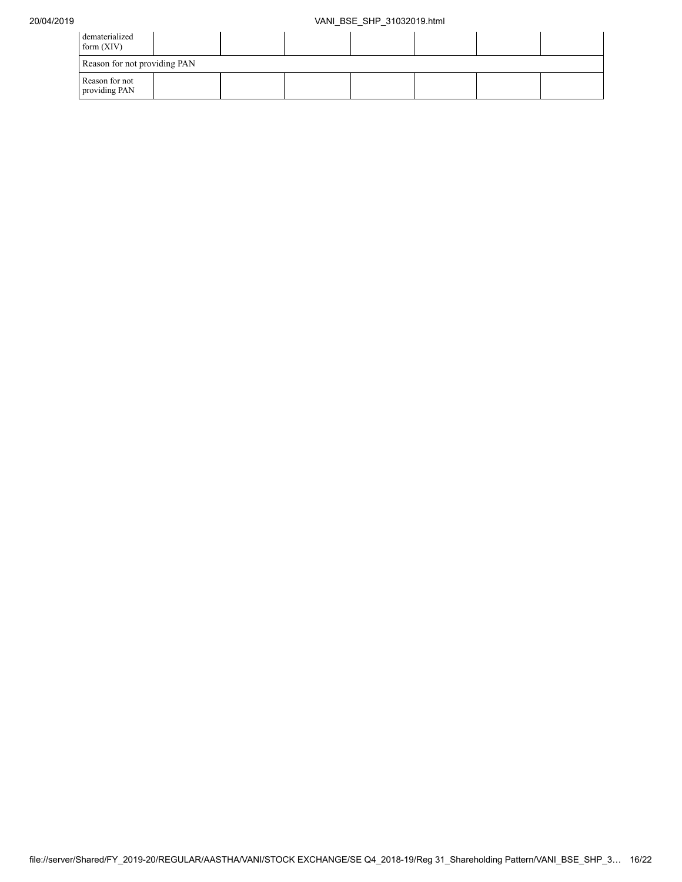| dematerialized<br>form $(XIV)$  |  |  |  |  |  |  |  |
|---------------------------------|--|--|--|--|--|--|--|
| Reason for not providing PAN    |  |  |  |  |  |  |  |
| Reason for not<br>providing PAN |  |  |  |  |  |  |  |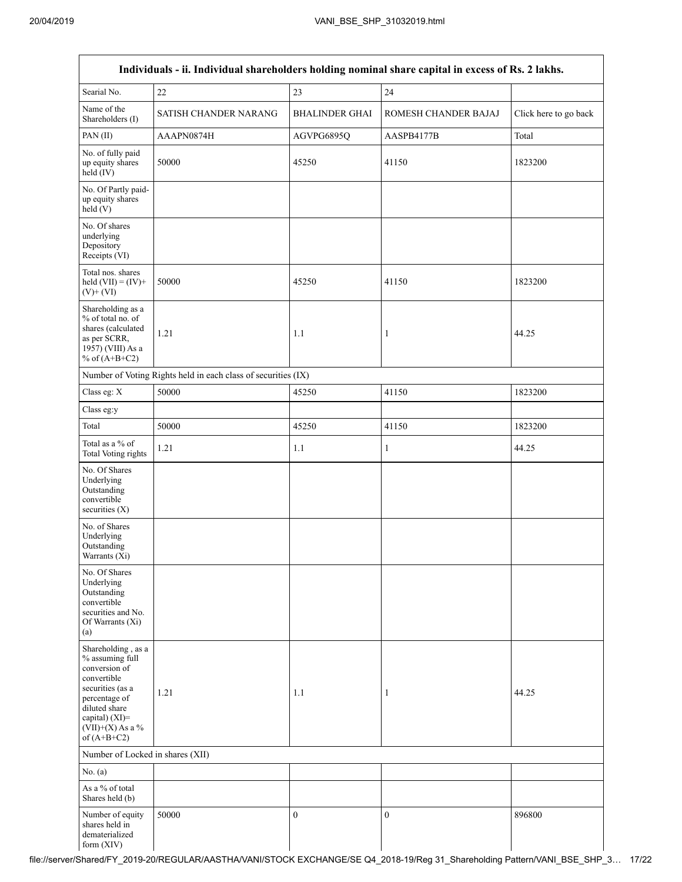|                                                                                                                                                                                      | Individuals - ii. Individual shareholders holding nominal share capital in excess of Rs. 2 lakhs. |                       |                      |                       |
|--------------------------------------------------------------------------------------------------------------------------------------------------------------------------------------|---------------------------------------------------------------------------------------------------|-----------------------|----------------------|-----------------------|
| Searial No.                                                                                                                                                                          | $22\,$                                                                                            | 23                    | 24                   |                       |
| Name of the<br>Shareholders (I)                                                                                                                                                      | SATISH CHANDER NARANG                                                                             | <b>BHALINDER GHAI</b> | ROMESH CHANDER BAJAJ | Click here to go back |
| PAN(II)                                                                                                                                                                              | AAAPN0874H                                                                                        | AGVPG6895Q            | AASPB4177B           | Total                 |
| No. of fully paid<br>up equity shares<br>$\text{held}(\text{IV})$                                                                                                                    | 50000                                                                                             | 45250                 | 41150                | 1823200               |
| No. Of Partly paid-<br>up equity shares<br>held (V)                                                                                                                                  |                                                                                                   |                       |                      |                       |
| No. Of shares<br>underlying<br>Depository<br>Receipts (VI)                                                                                                                           |                                                                                                   |                       |                      |                       |
| Total nos. shares<br>held $(VII) = (IV) +$<br>$(V)+(VI)$                                                                                                                             | 50000                                                                                             | 45250                 | 41150                | 1823200               |
| Shareholding as a<br>% of total no. of<br>shares (calculated<br>as per SCRR,<br>1957) (VIII) As a<br>% of $(A+B+C2)$                                                                 | 1.21                                                                                              | 1.1                   | 1                    | 44.25                 |
|                                                                                                                                                                                      | Number of Voting Rights held in each class of securities (IX)                                     |                       |                      |                       |
| Class eg: X                                                                                                                                                                          | 50000                                                                                             | 45250                 | 41150                | 1823200               |
| Class eg:y                                                                                                                                                                           |                                                                                                   |                       |                      |                       |
| Total                                                                                                                                                                                | 50000                                                                                             | 45250                 | 41150                | 1823200               |
| Total as a % of<br><b>Total Voting rights</b>                                                                                                                                        | 1.21                                                                                              | 1.1                   | 1                    | 44.25                 |
| No. Of Shares<br>Underlying<br>Outstanding<br>convertible<br>securities $(X)$                                                                                                        |                                                                                                   |                       |                      |                       |
| No. of Shares<br>Underlying<br>Outstanding<br>Warrants (Xi)                                                                                                                          |                                                                                                   |                       |                      |                       |
| No. Of Shares<br>Underlying<br>Outstanding<br>convertible<br>securities and No.<br>Of Warrants (Xi)<br>(a)                                                                           |                                                                                                   |                       |                      |                       |
| Shareholding, as a<br>% assuming full<br>conversion of<br>convertible<br>securities (as a<br>percentage of<br>diluted share<br>capital) (XI)=<br>$(VII)+(X)$ As a %<br>of $(A+B+C2)$ | 1.21                                                                                              | 1.1                   | 1                    | 44.25                 |
| Number of Locked in shares (XII)                                                                                                                                                     |                                                                                                   |                       |                      |                       |
| No. (a)                                                                                                                                                                              |                                                                                                   |                       |                      |                       |
| As a % of total<br>Shares held (b)                                                                                                                                                   |                                                                                                   |                       |                      |                       |
| Number of equity<br>shares held in<br>dematerialized<br>form (XIV)                                                                                                                   | 50000                                                                                             | $\boldsymbol{0}$      | $\overline{0}$       | 896800                |

file://server/Shared/FY\_2019-20/REGULAR/AASTHA/VANI/STOCK EXCHANGE/SE Q4\_2018-19/Reg 31\_Shareholding Pattern/VANI\_BSE\_SHP\_3… 17/22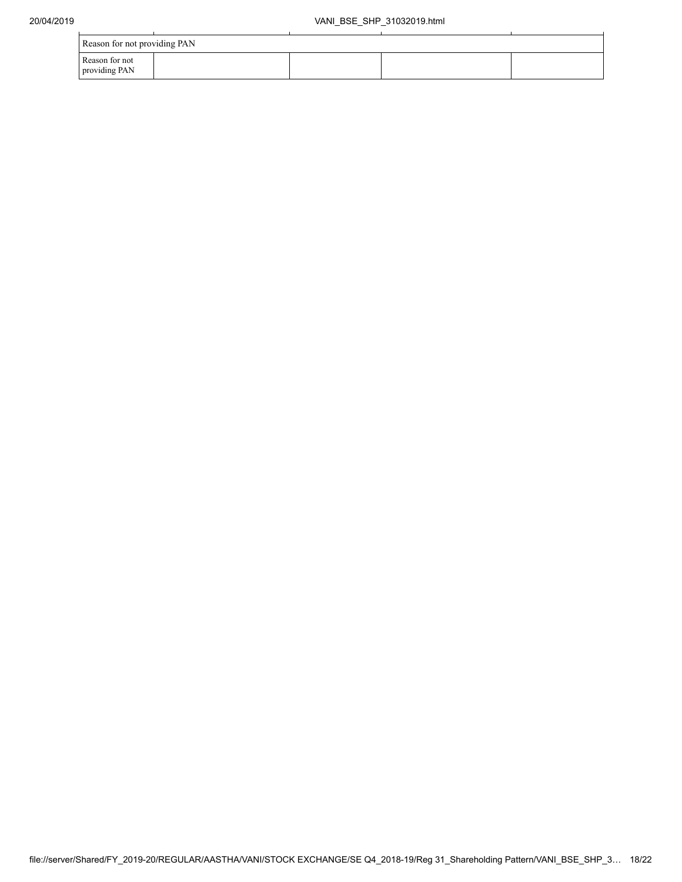| Reason for not providing PAN    |  |  |
|---------------------------------|--|--|
| Reason for not<br>providing PAN |  |  |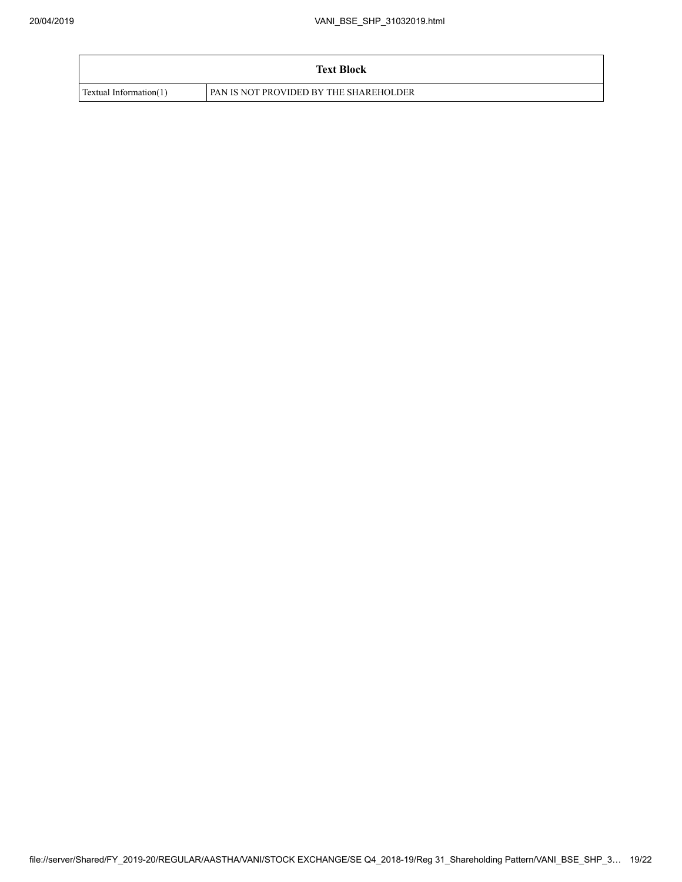|                        | <b>Text Block</b>                      |
|------------------------|----------------------------------------|
| Textual Information(1) | PAN IS NOT PROVIDED BY THE SHAREHOLDER |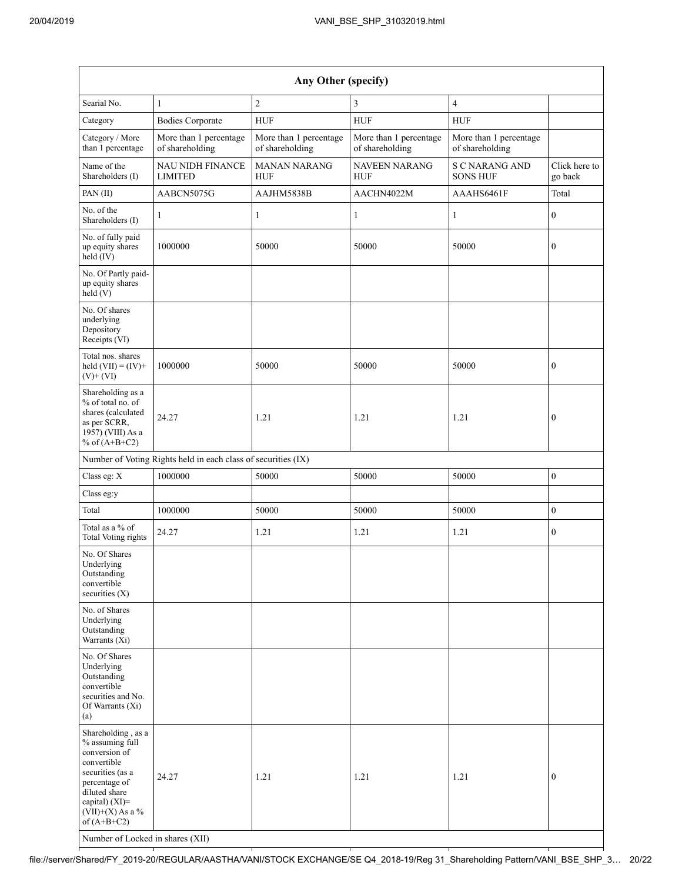| Any Other (specify)                                                                                                                                                                                                      |                                                               |                                           |                                           |                                           |                          |  |  |  |  |
|--------------------------------------------------------------------------------------------------------------------------------------------------------------------------------------------------------------------------|---------------------------------------------------------------|-------------------------------------------|-------------------------------------------|-------------------------------------------|--------------------------|--|--|--|--|
| Searial No.                                                                                                                                                                                                              | $\mathbf{1}$                                                  | $\overline{2}$                            | 3                                         | $\overline{4}$                            |                          |  |  |  |  |
| Category                                                                                                                                                                                                                 | <b>Bodies Corporate</b>                                       | <b>HUF</b>                                | <b>HUF</b>                                | <b>HUF</b>                                |                          |  |  |  |  |
| Category / More<br>than 1 percentage                                                                                                                                                                                     | More than 1 percentage<br>of shareholding                     | More than 1 percentage<br>of shareholding | More than 1 percentage<br>of shareholding | More than 1 percentage<br>of shareholding |                          |  |  |  |  |
| Name of the<br>Shareholders (I)                                                                                                                                                                                          | <b>NAU NIDH FINANCE</b><br><b>LIMITED</b>                     | <b>MANAN NARANG</b><br><b>HUF</b>         | <b>NAVEEN NARANG</b><br><b>HUF</b>        | S C NARANG AND<br><b>SONS HUF</b>         | Click here to<br>go back |  |  |  |  |
| PAN(II)                                                                                                                                                                                                                  | AABCN5075G                                                    | AAJHM5838B                                | AACHN4022M                                | AAAHS6461F                                | Total                    |  |  |  |  |
| No. of the<br>Shareholders (I)                                                                                                                                                                                           | 1                                                             | 1                                         | 1                                         | 1                                         | $\mathbf{0}$             |  |  |  |  |
| No. of fully paid<br>up equity shares<br>$held$ (IV)                                                                                                                                                                     | 1000000                                                       | 50000                                     | 50000                                     | 50000                                     | $\boldsymbol{0}$         |  |  |  |  |
| No. Of Partly paid-<br>up equity shares<br>held $(V)$                                                                                                                                                                    |                                                               |                                           |                                           |                                           |                          |  |  |  |  |
| No. Of shares<br>underlying<br>Depository<br>Receipts (VI)                                                                                                                                                               |                                                               |                                           |                                           |                                           |                          |  |  |  |  |
| Total nos. shares<br>held $(VII) = (IV) +$<br>$(V)$ + $(VI)$                                                                                                                                                             | 1000000                                                       | 50000                                     | 50000                                     | 50000                                     | $\mathbf{0}$             |  |  |  |  |
| Shareholding as a<br>% of total no. of<br>shares (calculated<br>as per SCRR,<br>$19\overline{57}$ ) (VIII) As a<br>% of $(A+B+C2)$                                                                                       | 24.27                                                         | 1.21                                      | 1.21                                      | 1.21                                      | $\boldsymbol{0}$         |  |  |  |  |
|                                                                                                                                                                                                                          | Number of Voting Rights held in each class of securities (IX) |                                           |                                           |                                           |                          |  |  |  |  |
| Class eg: X                                                                                                                                                                                                              | 1000000                                                       | 50000                                     | 50000                                     | 50000                                     | $\mathbf{0}$             |  |  |  |  |
| Class eg:y                                                                                                                                                                                                               |                                                               |                                           |                                           |                                           |                          |  |  |  |  |
| Total                                                                                                                                                                                                                    | 1000000                                                       | 50000                                     | 50000                                     | 50000                                     | $\boldsymbol{0}$         |  |  |  |  |
| Total as a % of<br><b>Total Voting rights</b>                                                                                                                                                                            | 24.27                                                         | 1.21                                      | 1.21                                      | 1.21                                      | $\mathbf{0}$             |  |  |  |  |
| No. Of Shares<br>Underlying<br>Outstanding<br>convertible<br>securities $(X)$                                                                                                                                            |                                                               |                                           |                                           |                                           |                          |  |  |  |  |
| No. of Shares<br>Underlying<br>Outstanding<br>Warrants (Xi)                                                                                                                                                              |                                                               |                                           |                                           |                                           |                          |  |  |  |  |
| No. Of Shares<br>Underlying<br>Outstanding<br>convertible<br>securities and No.<br>Of Warrants (Xi)<br>(a)                                                                                                               |                                                               |                                           |                                           |                                           |                          |  |  |  |  |
| Shareholding, as a<br>% assuming full<br>conversion of<br>convertible<br>securities (as a<br>percentage of<br>diluted share<br>capital) (XI)=<br>$(VII)+(X)$ As a %<br>of $(A+B+C2)$<br>Number of Locked in shares (XII) | 24.27                                                         | 1.21                                      | 1.21                                      | 1.21                                      | $\mathbf{0}$             |  |  |  |  |